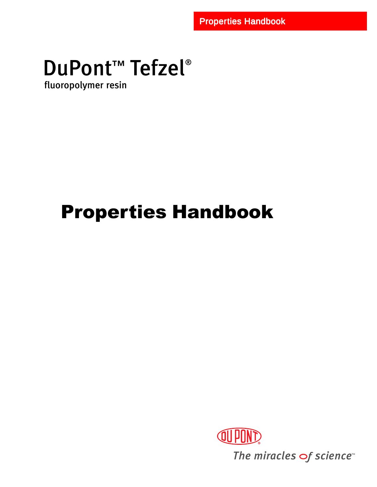# DuPont<sup>™</sup> Tefzel®

fluoropolymer resin

## Properties Handbook



The miracles of science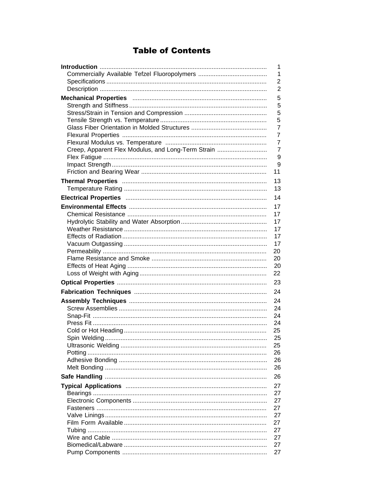## **Table of Contents**

|                                                    | 1              |
|----------------------------------------------------|----------------|
|                                                    | 1              |
|                                                    | 2              |
|                                                    | 2              |
|                                                    | 5              |
|                                                    | 5              |
|                                                    | 5              |
|                                                    | 5              |
|                                                    | 7              |
|                                                    | $\overline{7}$ |
|                                                    | 7              |
| Creep, Apparent Flex Modulus, and Long-Term Strain | $\overline{7}$ |
|                                                    | 9              |
|                                                    | 9              |
|                                                    | 11             |
|                                                    | 13             |
|                                                    | 13             |
|                                                    | 14             |
|                                                    | 17             |
|                                                    | 17             |
|                                                    | 17             |
|                                                    | 17             |
|                                                    | 17             |
|                                                    | 17             |
|                                                    | 20             |
|                                                    | 20             |
|                                                    | 20             |
|                                                    | 22             |
|                                                    | 23             |
|                                                    | 24             |
|                                                    | 24             |
|                                                    | 24             |
|                                                    | 24             |
|                                                    | 24             |
|                                                    | 25             |
|                                                    | 25             |
|                                                    | 25             |
|                                                    | 26             |
|                                                    | 26<br>26       |
|                                                    |                |
|                                                    | 26             |
|                                                    | 27             |
|                                                    | 27             |
|                                                    | 27             |
|                                                    | 27             |
|                                                    | 27             |
|                                                    | 27             |
|                                                    | 27             |
|                                                    | 27<br>27       |
|                                                    | 27             |
|                                                    |                |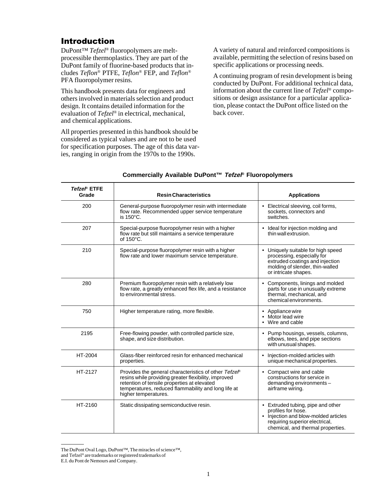## Introduction

DuPont™ *Tefzel*® fluoropolymers are meltprocessible thermoplastics. They are part of the DuPont family of fluorine-based products that includes *Teflon*® PTFE, *Teflon*® FEP, and *Teflon*® PFA fluoropolymer resins.

This handbook presents data for engineers and others involved in materials selection and product design. It contains detailed information for the evaluation of *Tefzel*® in electrical, mechanical, and chemical applications.

All properties presented in this handbook should be considered as typical values and are not to be used for specification purposes. The age of this data varies, ranging in origin from the 1970s to the 1990s.

A variety of natural and reinforced compositions is available, permitting the selection of resins based on specific applications or processing needs.

A continuing program of resin development is being conducted by DuPont. For additional technical data, information about the current line of *Tefzel*® compositions or design assistance for a particular application, please contact the DuPont office listed on the back cover.

| Tefzel® ETFE<br>Grade | <b>Resin Characteristics</b>                                                                                                                                                                                                                | <b>Applications</b>                                                                                                                                                    |
|-----------------------|---------------------------------------------------------------------------------------------------------------------------------------------------------------------------------------------------------------------------------------------|------------------------------------------------------------------------------------------------------------------------------------------------------------------------|
| 200                   | General-purpose fluoropolymer resin with intermediate<br>flow rate. Recommended upper service temperature<br>is 150°C.                                                                                                                      | Electrical sleeving, coil forms,<br>sockets, connectors and<br>switches.                                                                                               |
| 207                   | Special-purpose fluoropolymer resin with a higher<br>flow rate but still maintains a service temperature<br>of 150°C.                                                                                                                       | • Ideal for injection molding and<br>thin wall extrusion.                                                                                                              |
| 210                   | Special-purpose fluoropolymer resin with a higher<br>flow rate and lower maximum service temperature.                                                                                                                                       | • Uniquely suitable for high speed<br>processing, especially for<br>extruded coatings and injection<br>molding of slender, thin-walled<br>or intricate shapes.         |
| 280                   | Premium fluoropolymer resin with a relatively low<br>flow rate, a greatly enhanced flex life, and a resistance<br>to environmental stress.                                                                                                  | Components, linings and molded<br>parts for use in unusually extreme<br>thermal, mechanical, and<br>chemical environments.                                             |
| 750                   | Higher temperature rating, more flexible.                                                                                                                                                                                                   | Appliance wire<br>$\bullet$<br>Motor lead wire<br>Wire and cable                                                                                                       |
| 2195                  | Free-flowing powder, with controlled particle size,<br>shape, and size distribution.                                                                                                                                                        | • Pump housings, vessels, columns,<br>elbows, tees, and pipe sections<br>with unusual shapes.                                                                          |
| HT-2004               | Glass-fiber reinforced resin for enhanced mechanical<br>properties.                                                                                                                                                                         | Injection-molded articles with<br>unique mechanical properties.                                                                                                        |
| HT-2127               | Provides the general characteristics of other Tefzel®<br>resins while providing greater flexibility, improved<br>retention of tensile properties at elevated<br>temperatures, reduced flammability and long life at<br>higher temperatures. | • Compact wire and cable<br>constructions for service in<br>demanding environments-<br>airframe wiring.                                                                |
| HT-2160               | Static dissipating semiconductive resin.                                                                                                                                                                                                    | • Extruded tubing, pipe and other<br>profiles for hose.<br>• Injection and blow-molded articles<br>requiring superior electrical,<br>chemical, and thermal properties. |

#### **Commercially Available DuPont™ Tefzel® Fluoropolymers**

The DuPont Oval Logo, DuPont™, The miracles of science™,

and Tefzel® are trademarks or registered trademarks of

E.I. du Pont de Nemours and Company.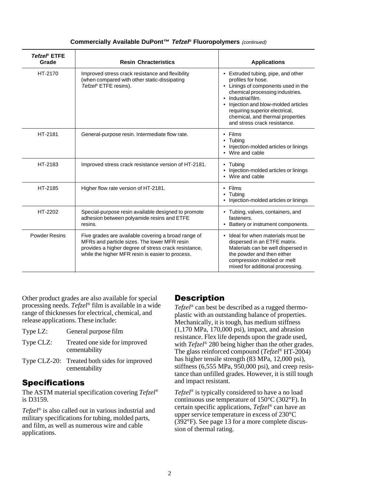| Tefzel® ETFE<br>Grade | <b>Resin Chracteristics</b>                                                                                                                                                                                     | <b>Applications</b>                                                                                                                                                                                                                                                                                |
|-----------------------|-----------------------------------------------------------------------------------------------------------------------------------------------------------------------------------------------------------------|----------------------------------------------------------------------------------------------------------------------------------------------------------------------------------------------------------------------------------------------------------------------------------------------------|
| HT-2170               | Improved stress crack resistance and flexibility<br>(when compared with other static-dissipating<br>Tefzel® ETFE resins).                                                                                       | • Extruded tubing, pipe, and other<br>profiles for hose.<br>• Linings of components used in the<br>chemical processing industries.<br>Industrial film.<br>Injection and blow-molded articles<br>requiring superior electrical,<br>chemical, and thermal properties<br>and stress crack resistance. |
| HT-2181               | General-purpose resin. Intermediate flow rate.                                                                                                                                                                  | $\cdot$ Films<br>Tubina<br>Injection-molded articles or linings<br>• Wire and cable                                                                                                                                                                                                                |
| HT-2183               | Improved stress crack resistance version of HT-2181.                                                                                                                                                            | • Tubing<br>Injection-molded articles or linings<br>• Wire and cable                                                                                                                                                                                                                               |
| HT-2185               | Higher flow rate version of HT-2181.                                                                                                                                                                            | $\cdot$ Films<br>• Tubing<br>Injection-molded articles or linings                                                                                                                                                                                                                                  |
| HT-2202               | Special-purpose resin available designed to promote<br>adhesion between polyamide resins and ETFE<br>resins.                                                                                                    | • Tubing, valves, containers, and<br>fasteners.<br>Battery or instrument components.                                                                                                                                                                                                               |
| <b>Powder Resins</b>  | Five grades are available covering a broad range of<br>MFRs and particle sizes. The lower MFR resin<br>provides a higher degree of stress crack resistance,<br>while the higher MFR resin is easier to process. | • Ideal for when materials must be<br>dispersed in an ETFE matrix.<br>Materials can be well dispersed in<br>the powder and then either<br>compression molded or melt<br>mixed for additional processing.                                                                                           |

#### **Commercially Available DuPont™ Tefzel® Fluoropolymers** (continued)

Other product grades are also available for special processing needs. *Tefzel*® film is available in a wide range of thicknesses for electrical, chemical, and release applications. These include:

- Type LZ: General purpose film
- Type CLZ: Treated one side for improved cementability
- Type CLZ-20: Treated both sides for improved cementability

## **Specifications**

The ASTM material specification covering *Tefzel*® is D3159.

*Tefzel*® is also called out in various industrial and military specifications for tubing, molded parts, and film, as well as numerous wire and cable applications.

## **Description**

*Tefzel*® can best be described as a rugged thermoplastic with an outstanding balance of properties. Mechanically, it is tough, has medium stiffness  $(1,170 \text{ MPa}, 170,000 \text{ psi})$ , impact, and abrasion resistance. Flex life depends upon the grade used, with *Tefzel*® 280 being higher than the other grades. The glass reinforced compound (*Tefzel*® HT-2004) has higher tensile strength (83 MPa, 12,000 psi), stiffness (6,555 MPa, 950,000 psi), and creep resistance than unfilled grades. However, it is still tough and impact resistant.

*Tefzel*® is typically considered to have a no load continuous use temperature of 150°C (302°F). In certain specific applications, *Tefzel*® can have an upper service temperature in excess of 230°C (392°F). See page 13 for a more complete discussion of thermal rating.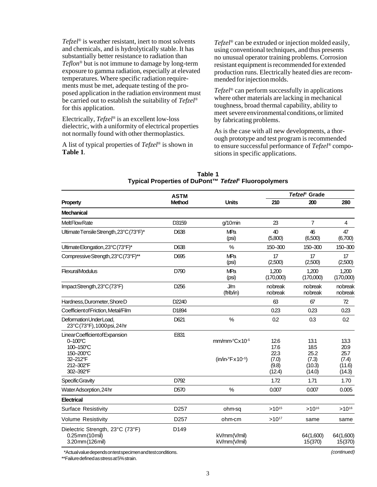*Tefzel*® is weather resistant, inert to most solvents and chemicals, and is hydrolytically stable. It has substantially better resistance to radiation than *Teflon*® but is not immune to damage by long-term exposure to gamma radiation, especially at elevated temperatures. Where specific radiation requirements must be met, adequate testing of the proposed application in the radiation environment must be carried out to establish the suitability of *Tefzel*® for this application.

Electrically, *Tefzel*® is an excellent low-loss dielectric, with a uniformity of electrical properties not normally found with other thermoplastics.

A list of typical properties of *Tefzel*® is shown in **Table 1**.

*Tefzel*® can be extruded or injection molded easily, using conventional techniques, and thus presents no unusual operator training problems. Corrosion resistant equipment is recommended for extended production runs. Electrically heated dies are recommended for injection molds.

*Tefzel*® can perform successfully in applications where other materials are lacking in mechanical toughness, broad thermal capability, ability to meet severe environmental conditions, or limited by fabricating problems.

As is the case with all new developments, a thorough prototype and test program is recommended to ensure successful performance of *Tefzel*® compositions in specific applications.

|                                                                                                          | <b>ASTM</b>      |                                                                     | Tefzel <sup>®</sup> Grade                        |                                                   |                                                   |
|----------------------------------------------------------------------------------------------------------|------------------|---------------------------------------------------------------------|--------------------------------------------------|---------------------------------------------------|---------------------------------------------------|
| Property                                                                                                 | Method           | <b>Units</b>                                                        | 210                                              | 200                                               | 280                                               |
| <b>Mechanical</b>                                                                                        |                  |                                                                     |                                                  |                                                   |                                                   |
| <b>MeltFlowRate</b>                                                                                      | D3159            | $g/10$ min                                                          | 23                                               | $\overline{7}$                                    | 4                                                 |
| Ultimate Tensile Strength, 23°C (73°F)*                                                                  | D638             | <b>MPa</b><br>(psi)                                                 | 40<br>(5,800)                                    | 46<br>(6,500)                                     | 47<br>(6,700)                                     |
| Ultimate Elongation, 23°C (73°F)*                                                                        | D638             | $\frac{0}{0}$                                                       | 150-300                                          | 150-300                                           | 150-300                                           |
| Compressive Strength, 23°C (73°F)**                                                                      | D695             | MPa<br>(psi)                                                        | 17<br>(2,500)                                    | 17<br>(2,500)                                     | 17<br>(2,500)                                     |
| <b>FlexuralModulus</b>                                                                                   | D790             | <b>MPa</b><br>(psi)                                                 | 1.200<br>(170,000)                               | 1.200<br>(170,000)                                | 1,200<br>(170,000)                                |
| ImpactStrength, 23°C (73°F)                                                                              | D <sub>256</sub> | <b>J/m</b><br>(ft-Ib/in)                                            | nobreak<br>nobreak                               | nobreak<br>nobreak                                | nobreak<br>nobreak                                |
| Hardness. Durometer. Shore D                                                                             | D2240            |                                                                     | 63                                               | 67                                                | 72                                                |
| Coefficient of Friction, Metal/Film                                                                      | D1894            |                                                                     | 0.23                                             | 0.23                                              | 0.23                                              |
| Deformation Under Load,<br>23°C (73°F), 1000 psi, 24 hr                                                  | D621             | $\%$                                                                | 0.2                                              | 0.3                                               | 0.2                                               |
| LinearCoefficientof Expansion<br>0-100°C<br>100-150°C<br>150-200°C<br>32-212°F<br>212-302°F<br>302-392°F | E831             | mm/mm <sup>o</sup> Cx10 <sup>-5</sup><br>$(in/in^{\circ}Fx10^{-5})$ | 12.6<br>17.6<br>22.3<br>(7.0)<br>(9.8)<br>(12.4) | 13.1<br>18.5<br>25.2<br>(7.3)<br>(10.3)<br>(14.0) | 13.3<br>20.9<br>25.7<br>(7.4)<br>(11.6)<br>(14.3) |
| <b>Specific Gravity</b>                                                                                  | D792             |                                                                     | 1.72                                             | 1.71                                              | 1.70                                              |
| Water Adsorption, 24hr                                                                                   | D <sub>570</sub> | %                                                                   | 0.007                                            | 0.007                                             | 0.005                                             |
| <b>Electrical</b>                                                                                        |                  |                                                                     |                                                  |                                                   |                                                   |
| <b>Surface Resistivity</b>                                                                               | D <sub>257</sub> | ohm·sa                                                              | $>10^{15}$                                       | $>10^{16}$                                        | $>10^{16}$                                        |
| <b>Volume Resistivity</b>                                                                                | D <sub>257</sub> | ohm-cm                                                              | $>10^{17}$                                       | same                                              | same                                              |
| Dielectric Strength, 23°C (73°F)<br>$0.25$ mm $(10$ mil)<br>3.20mm (126mil)                              | D149             | kV/mm(V/mil)<br>kV/mm(V/mil)                                        |                                                  | 64(1,600)<br>15(370)                              | 64 (1,600)<br>15(370)                             |

**Table 1 Typical Properties of DuPont™ Tefzel® Fluoropolymers**

∗\*Actual value depends on test specimen and test conditions.

\*\*Failure defined as stress at 5% strain.

(continued)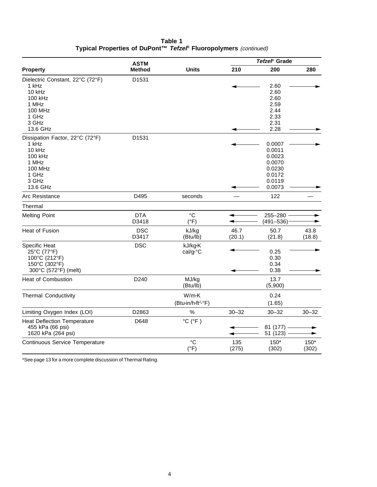| Table 1                                                          |  |
|------------------------------------------------------------------|--|
| Typical Properties of DuPont™ Tefzel® Fluoropolymers (continued) |  |

|                                    |               | <b>ASTM</b>                  |           | Tefzel <sup>®</sup> Grade |           |  |
|------------------------------------|---------------|------------------------------|-----------|---------------------------|-----------|--|
| <b>Property</b>                    | <b>Method</b> | <b>Units</b>                 | 210       | 200                       | 280       |  |
| Dielectric Constant, 22°C (72°F)   | D1531         |                              |           |                           |           |  |
| 1 kHz                              |               |                              |           | 2.60                      |           |  |
| 10 kHz                             |               |                              |           | 2.60                      |           |  |
| 100 kHz                            |               |                              |           | 2.60                      |           |  |
| 1 MHz                              |               |                              |           | 2.59                      |           |  |
| <b>100 MHz</b>                     |               |                              |           | 2.44                      |           |  |
| 1 GHz                              |               |                              |           | 2.33                      |           |  |
| 3 GHz                              |               |                              |           | 2.31                      |           |  |
| 13.6 GHz                           |               |                              |           | 2.28                      |           |  |
| Dissipation Factor, 22°C (72°F)    | D1531         |                              |           |                           |           |  |
| 1 kHz                              |               |                              |           | 0.0007                    |           |  |
| 10 kHz                             |               |                              |           | 0.0011                    |           |  |
| 100 kHz                            |               |                              |           | 0.0023                    |           |  |
| 1 MHz                              |               |                              |           | 0.0070                    |           |  |
| <b>100 MHz</b>                     |               |                              |           | 0.0230                    |           |  |
| 1 GHz                              |               |                              |           | 0.0172                    |           |  |
| 3 GHz                              |               |                              |           | 0.0119                    |           |  |
| 13.6 GHz                           |               |                              |           | 0.0073                    |           |  |
| Arc Resistance                     | D495          | seconds                      |           | 122                       |           |  |
| Thermal                            |               |                              |           |                           |           |  |
| <b>Melting Point</b>               | <b>DTA</b>    | °C                           |           | 255-280                   |           |  |
|                                    | D3418         | $(^{\circ}F)$                |           | $(491 - 536)$             |           |  |
| <b>Heat of Fusion</b>              | <b>DSC</b>    | kJ/kg                        | 46.7      | 50.7                      | 43.8      |  |
|                                    | D3417         | (Btu/lb)                     | (20.1)    | (21.8)                    | (18.8)    |  |
| Specific Heat                      | <b>DSC</b>    | kJ/kg·K                      |           |                           |           |  |
| 25°C (77°F)                        |               | cal/g <sup>o</sup> C         |           | 0.25                      |           |  |
| 100°C (212°F)                      |               |                              |           | 0.30                      |           |  |
| 150°C (302°F)                      |               |                              |           | 0.34                      |           |  |
| 300°C (572°F) (melt)               |               |                              |           | 0.38                      |           |  |
| <b>Heat of Combustion</b>          | D240          | MJ/kg                        |           | 13.7                      |           |  |
|                                    |               | (Btu/lb)                     |           | (5,900)                   |           |  |
| <b>Thermal Conductivity</b>        |               | W/m·K                        |           | 0.24                      |           |  |
|                                    |               | (Btu-in/h-ft2-°F)            |           | (1.65)                    |           |  |
| Limiting Oxygen Index (LOI)        | D2863         | $\%$                         | $30 - 32$ | $30 - 32$                 | $30 - 32$ |  |
| <b>Heat Deflection Temperature</b> | D648          | $^{\circ}$ C ( $^{\circ}$ F) |           |                           |           |  |
| 455 kPa (66 psi)                   |               |                              |           | 81 (177)                  |           |  |
| 1620 kPa (264 psi)                 |               |                              |           |                           |           |  |
|                                    |               |                              |           | 51 (123)                  |           |  |
| Continuous Service Temperature     |               | °C                           | 135       | 150*                      | 150*      |  |
|                                    |               | $(^{\circ}F)$                | (275)     | (302)                     | (302)     |  |

\*See page 13 for a more complete discussion of Thermal Rating.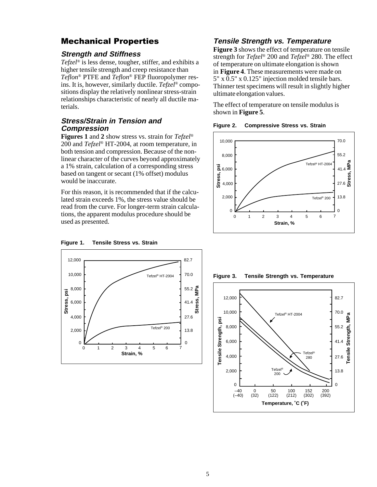## Mechanical Properties

#### **Strength and Stiffness**

*Tefzel*® is less dense, tougher, stiffer, and exhibits a higher tensile strength and creep resistance than *Teflon*® PTFE and *Teflon*® FEP fluoropolymer resins. It is, however, similarly ductile. *Tefzel*® compositions display the relatively nonlinear stress-strain relationships characteristic of nearly all ductile materials.

#### **Stress/Strain in Tension and Compression**

**Figures 1** and **2** show stress vs. strain for *Tefzel*® 200 and *Tefzel*® HT-2004, at room temperature, in both tension and compression. Because of the nonlinear character of the curves beyond approximately a 1% strain, calculation of a corresponding stress based on tangent or secant (1% offset) modulus would be inaccurate.

For this reason, it is recommended that if the calculated strain exceeds 1%, the stress value should be read from the curve. For longer-term strain calculations, the apparent modulus procedure should be used as presented.

#### 12,000 82.7 10,000 70.0 Tefzel® HT-2004 55.2 $\frac{a}{5}$ **Stress, MPa** 8,000 psi **Stress, psi** Stress, p ress, 6,000 41.4 ō 4,000 27.6 Tefzel® 200 2,000 13.8 0 <u>2 - - - - - - - - - - - - - - - - 0</u> 0 0 1 2 34 56 7 **Strain, %**

#### **Figure 1. Tensile Stress vs. Strain**

#### **Tensile Strength vs. Temperature**

**Figure 3** shows the effect of temperature on tensile strength for *Tefzel*® 200 and *Tefzel*® 280. The effect of temperature on ultimate elongation is shown in **Figure 4**. These measurements were made on 5" x 0.5" x 0.125" injection molded tensile bars. Thinner test specimens will result in slightly higher ultimate elongation values.

The effect of temperature on tensile modulus is shown in **Figure 5**.





**Figure 3. Tensile Strength vs. Temperature**

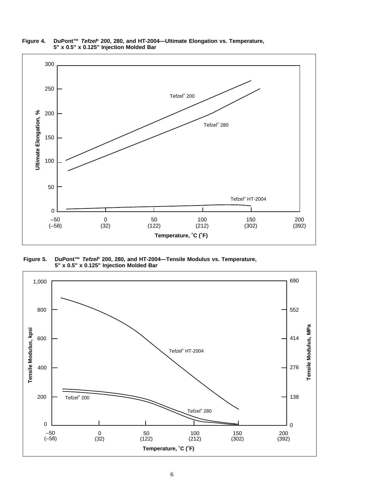

**Figure 4. DuPont™ Tefzel® 200, 280, and HT-2004—Ultimate Elongation vs. Temperature, 5" x 0.5" x 0.125" Injection Molded Bar**

**Figure 5. DuPont™ Tefzel® 200, 280, and HT-2004—Tensile Modulus vs. Temperature, 5" x 0.5" x 0.125" Injection Molded Bar**

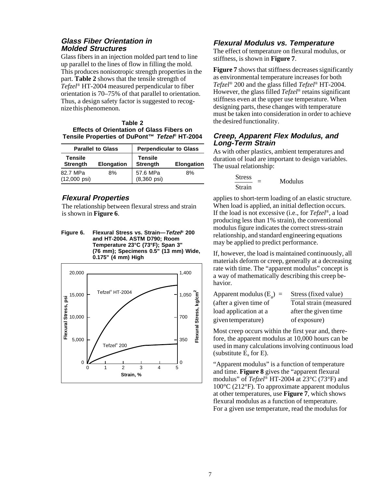#### **Glass Fiber Orientation in Molded Structures**

Glass fibers in an injection molded part tend to line up parallel to the lines of flow in filling the mold. This produces nonisotropic strength properties in the part. **Table 2** shows that the tensile strength of *Tefzel*® HT-2004 measured perpendicular to fiber orientation is 70–75% of that parallel to orientation. Thus, a design safety factor is suggested to recognize this phenomenon.

| Table 2                                          |
|--------------------------------------------------|
| <b>Effects of Orientation of Glass Fibers on</b> |
| Tensile Properties of DuPont™ Tefzel® HT-2004    |

| <b>Parallel to Glass</b>                        |    | <b>Perpendicular to Glass</b>     |                   |
|-------------------------------------------------|----|-----------------------------------|-------------------|
| Tensile<br><b>Strength</b><br><b>Elongation</b> |    | <b>Tensile</b><br><b>Strength</b> | <b>Elongation</b> |
| 82.7 MPa<br>$(12,000 \text{ psi})$              | 8% | 57.6 MPa<br>$(8,360 \text{ psi})$ | 8%                |

#### **Flexural Properties**

The relationship between flexural stress and strain is shown in **Figure 6**.

**Figure 6. Flexural Stress vs. Strain—Tefzel® 200 and HT-2004. ASTM D790; Room Temperature 23°C (73°F); Span 3" (76 mm); Specimens 0.5" (13 mm) Wide, 0.175" (4 mm) High**



#### **Flexural Modulus vs. Temperature**

The effect of temperature on flexural modulus, or stiffness, is shown in **Figure 7**.

**Figure 7** shows that stiffness decreases significantly as environmental temperature increases for both *Tefzel*® 200 and the glass filled *Tefzel*® HT-2004. However, the glass filled *Tefzel*® retains significant stiffness even at the upper use temperature. When designing parts, these changes with temperature must be taken into consideration in order to achieve the desired functionality.

#### **Creep, Apparent Flex Modulus, and Long-Term Strain**

As with other plastics, ambient temperatures and duration of load are important to design variables. The usual relationship:

$$
\frac{\text{Stress}}{\text{Strain}} = \text{Modulus}
$$

applies to short-term loading of an elastic structure. When load is applied, an initial deflection occurs. If the load is not excessive (i.e., for *Tefzel*®, a load producing less than 1% strain), the conventional modulus figure indicates the correct stress-strain relationship, and standard engineering equations may be applied to predict performance.

If, however, the load is maintained continuously, all materials deform or creep, generally at a decreasing rate with time. The "apparent modulus" concept is a way of mathematically describing this creep behavior.

| Apparent modulus $(E_2)$ = | Stress (fixed value)    |
|----------------------------|-------------------------|
| (after a given time of     | Total strain (measured) |
| load application at a      | after the given time    |
| given temperature)         | of exposure)            |

Most creep occurs within the first year and, therefore, the apparent modulus at 10,000 hours can be used in many calculations involving continuous load (substitute  $E_a$  for E).

"Apparent modulus" is a function of temperature and time. **Figure 8** gives the "apparent flexural modulus" of *Tefzel*® HT-2004 at 23°C (73°F) and 100°C (212°F). To approximate apparent modulus at other temperatures, use **Figure 7**, which shows flexural modulus as a function of temperature. For a given use temperature, read the modulus for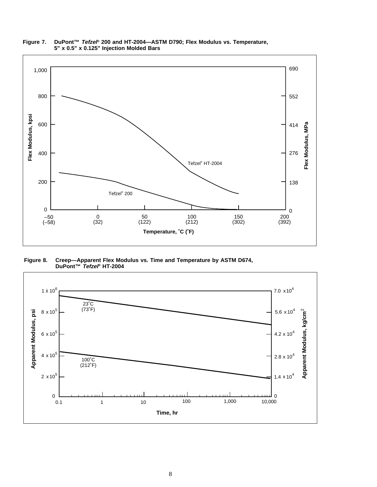

**Figure 7. DuPont™ Tefzel® 200 and HT-2004—ASTM D790; Flex Modulus vs. Temperature, 5" x 0.5" x 0.125" Injection Molded Bars**

**Figure 8. Creep—Apparent Flex Modulus vs. Time and Temperature by ASTM D674, DuPont™ Tefzel® HT-2004**

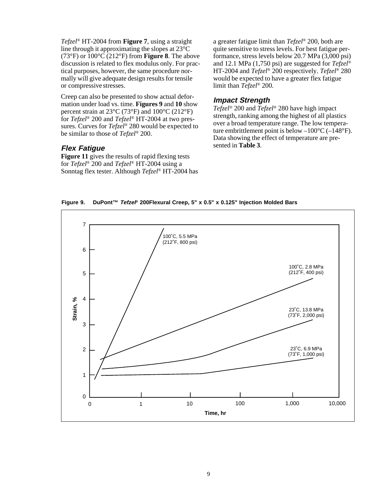*Tefzel*® HT-2004 from **Figure 7**, using a straight line through it approximating the slopes at 23°C (73°F) or 100°C (212°F) from **Figure 8**. The above discussion is related to flex modulus only. For practical purposes, however, the same procedure normally will give adequate design results for tensile or compressive stresses.

Creep can also be presented to show actual deformation under load vs. time. **Figures 9** and **10** show percent strain at 23°C (73°F) and 100°C (212°F) for *Tefzel*® 200 and *Tefzel*® HT-2004 at two pressures. Curves for *Tefzel*® 280 would be expected to be similar to those of *Tefzel*® 200.

#### **Flex Fatigue**

**Figure 11** gives the results of rapid flexing tests for *Tefzel*® 200 and *Tefzel*® HT-2004 using a Sonntag flex tester. Although *Tefzel*® HT-2004 has a greater fatigue limit than *Tefzel*® 200, both are quite sensitive to stress levels. For best fatigue performance, stress levels below 20.7 MPa (3,000 psi) and 12.1 MPa (1,750 psi) are suggested for *Tefzel*® HT-2004 and *Tefzel*® 200 respectively. *Tefzel*® 280 would be expected to have a greater flex fatigue limit than *Tefzel*® 200.

#### **Impact Strength**

*Tefzel*® 200 and *Tefzel*® 280 have high impact strength, ranking among the highest of all plastics over a broad temperature range. The low temperature embrittlement point is below  $-100^{\circ}C$  ( $-148^{\circ}F$ ). Data showing the effect of temperature are presented in **Table 3**.

**Figure 9. DuPont™ Tefzel® 200Flexural Creep, 5" x 0.5" x 0.125" Injection Molded Bars**

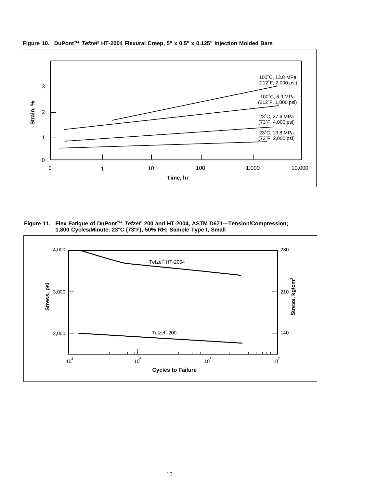

**Figure 10. DuPont™ Tefzel® HT-2004 Flexural Creep, 5" x 0.5" x 0.125" Injection Molded Bars**

**Figure 11. Flex Fatigue of DuPont™ Tefzel® 200 and HT-2004, ASTM D671—Tension/Compression; 1,800 Cycles/Minute, 23°C (73°F), 50% RH; Sample Type I, Small**

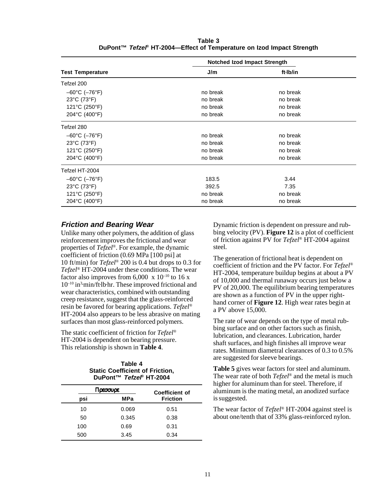|                                    | Notched Izod Impact Strength |          |  |
|------------------------------------|------------------------------|----------|--|
| <b>Test Temperature</b>            | J/m                          | ft·lb/in |  |
| Tefzel 200                         |                              |          |  |
| $-60^{\circ}$ C ( $-76^{\circ}$ F) | no break                     | no break |  |
| $23^{\circ}$ C (73 $^{\circ}$ F)   | no break                     | no break |  |
| 121°C (250°F)                      | no break                     | no break |  |
| 204°C (400°F)                      | no break                     | no break |  |
| Tefzel 280                         |                              |          |  |
| $-60^{\circ}$ C ( $-76^{\circ}$ F) | no break                     | no break |  |
| $23^{\circ}$ C (73 $^{\circ}$ F)   | no break                     | no break |  |
| 121°C (250°F)                      | no break                     | no break |  |
| 204°C (400°F)                      | no break                     | no break |  |
| Tefzel HT-2004                     |                              |          |  |
| $-60^{\circ}$ C ( $-76^{\circ}$ F) | 183.5                        | 3.44     |  |
| $23^{\circ}$ C (73 $^{\circ}$ F)   | 392.5                        | 7.35     |  |
| 121°C (250°F)                      | no break                     | no break |  |
| 204°C (400°F)                      | no break                     | no break |  |

**Table 3 DuPont™ Tefzel® HT-2004—Effect of Temperature on Izod Impact Strength**

#### **Friction and Bearing Wear**

Unlike many other polymers, the addition of glass reinforcement improves the frictional and wear properties of *Tefzel*®. For example, the dynamic coefficient of friction (0.69 MPa [100 psi] at 10 ft/min) for *Tefzel*® 200 is 0.4 but drops to 0.3 for *Tefzel*® HT-2004 under these conditions. The wear factor also improves from  $6,000 \times 10^{-10}$  to 16 x 10–10 in3• min/ft• lb• hr. These improved frictional and wear characteristics, combined with outstanding creep resistance, suggest that the glass-reinforced resin be favored for bearing applications. *Tefzel*® HT-2004 also appears to be less abrasive on mating surfaces than most glass-reinforced polymers.

The static coefficient of friction for *Tefzel*® HT-2004 is dependent on bearing pressure. This relationship is shown in **Table 4**.

#### **Table 4 Static Coefficient of Friction, DuPont™ Tefzel® HT-2004**

|     | Πρεσσυρε | Coefficient of  |
|-----|----------|-----------------|
| psi | MPa      | <b>Friction</b> |
| 10  | 0.069    | 0.51            |
| 50  | 0.345    | 0.38            |
| 100 | 0.69     | 0.31            |
| 500 | 3.45     | 0.34            |

Dynamic friction is dependent on pressure and rubbing velocity (PV). **Figure 12** is a plot of coefficient of friction against PV for *Tefzel*® HT-2004 against steel.

The generation of frictional heat is dependent on coefficient of friction and the PV factor. For *Tefzel*® HT-2004, temperature buildup begins at about a PV of 10,000 and thermal runaway occurs just below a PV of 20,000. The equilibrium bearing temperatures are shown as a function of PV in the upper righthand corner of **Figure 12**. High wear rates begin at a PV above 15,000.

The rate of wear depends on the type of metal rubbing surface and on other factors such as finish, lubrication, and clearances. Lubrication, harder shaft surfaces, and high finishes all improve wear rates. Minimum diametral clearances of 0.3 to 0.5% are suggested for sleeve bearings.

**Table 5** gives wear factors for steel and aluminum. The wear rate of both *Tefzel*® and the metal is much higher for aluminum than for steel. Therefore, if aluminum is the mating metal, an anodized surface is suggested.

The wear factor of *Tefzel*® HT-2004 against steel is about one/tenth that of 33% glass-reinforced nylon.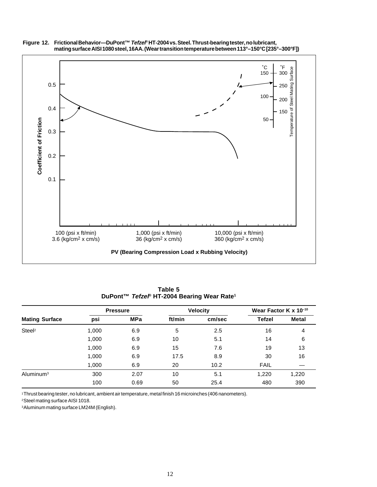

**Figure 12. Frictional Behavior—DuPont™ Tefzel® HT-2004 vs. Steel. Thrust-bearing tester, no lubricant, mating surface AISI 1080 steel, 16AA. (Wear transition temperature between 113°–150°C [235°–300°F])**

**Table 5 DuPont™ Tefzel® HT-2004 Bearing Wear Rate1**

|                       |       | <b>Pressure</b> |        | <b>Velocity</b> | Wear Factor K $\times$ 10 <sup>-10</sup> |              |
|-----------------------|-------|-----------------|--------|-----------------|------------------------------------------|--------------|
| <b>Mating Surface</b> | psi   | <b>MPa</b>      | ft/min | cm/sec          | <b>Tefzel</b>                            | <b>Metal</b> |
| Steel <sup>2</sup>    | 1,000 | 6.9             | 5      | 2.5             | 16                                       | 4            |
|                       | 1,000 | 6.9             | 10     | 5.1             | 14                                       | 6            |
|                       | 1,000 | 6.9             | 15     | 7.6             | 19                                       | 13           |
|                       | 1,000 | 6.9             | 17.5   | 8.9             | 30                                       | 16           |
|                       | 1,000 | 6.9             | 20     | 10.2            | <b>FAIL</b>                              |              |
| Aluminum <sup>3</sup> | 300   | 2.07            | 10     | 5.1             | 1,220                                    | 1,220        |
|                       | 100   | 0.69            | 50     | 25.4            | 480                                      | 390          |

1Thrust bearing tester, no lubricant, ambient air temperature, metal finish 16 microinches (406 nanometers).

2Steel mating surface AISI 1018.

3Aluminum mating surface LM24M (English).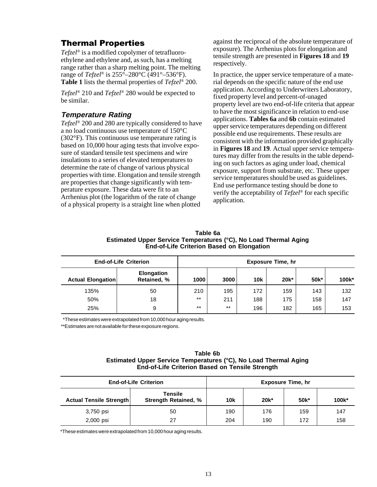## Thermal Properties

*Tefzel*® is a modified copolymer of tetrafluoroethylene and ethylene and, as such, has a melting range rather than a sharp melting point. The melting range of *Tefzel*® is 255°–280°C (491°–536°F). **Table 1** lists the thermal properties of *Tefzel*® 200.

*Tefzel*® 210 and *Tefzel*® 280 would be expected to be similar.

#### **Temperature Rating**

*Tefzel*® 200 and 280 are typically considered to have a no load continuous use temperature of 150°C (302°F). This continuous use temperature rating is based on 10,000 hour aging tests that involve exposure of standard tensile test specimens and wire insulations to a series of elevated temperatures to determine the rate of change of various physical properties with time. Elongation and tensile strength are properties that change significantly with temperature exposure. These data were fit to an Arrhenius plot (the logarithm of the rate of change of a physical property is a straight line when plotted

against the reciprocal of the absolute temperature of exposure). The Arrhenius plots for elongation and tensile strength are presented in **Figures 18** and **19** respectively.

In practice, the upper service temperature of a material depends on the specific nature of the end use application. According to Underwriters Laboratory, fixed property level and percent-of-unaged property level are two end-of-life criteria that appear to have the most significance in relation to end-use applications. **Tables 6a** and **6b** contain estimated upper service temperatures depending on different possible end use requirements. These results are consistent with the information provided graphically in **Figures 18** and **19**. Actual upper service temperatures may differ from the results in the table depending on such factors as aging under load, chemical exposure, support from substrate, etc. These upper service temperatures should be used as guidelines. End use performance testing should be done to verify the acceptability of *Tefzel*® for each specific application.

| Table 6a                                                         |
|------------------------------------------------------------------|
| Estimated Upper Service Temperatures (°C), No Load Thermal Aging |
| <b>End-of-Life Criterion Based on Elongation</b>                 |

| <b>End-of-Life Criterion</b> |                                  | <b>Exposure Time, hr</b> |       |            |         |      |       |
|------------------------------|----------------------------------|--------------------------|-------|------------|---------|------|-------|
| <b>Actual Elongation</b>     | <b>Elongation</b><br>Retained, % | 1000                     | 3000  | <b>10k</b> | $20k^*$ | 50k* | 100k* |
| 135%                         | 50                               | 210                      | 195   | 172        | 159     | 143  | 132   |
| 50%                          | 18                               | $***$                    | 211   | 188        | 175     | 158  | 147   |
| 25%                          | 9                                | $***$                    | $***$ | 196        | 182     | 165  | 153   |

\*\*These estimates were extrapolated from 10,000 hour aging results.

\*\*Estimates are not available for these exposure regions.

#### **Table 6b Estimated Upper Service Temperatures (°C), No Load Thermal Aging End-of-Life Criterion Based on Tensile Strength**

| <b>End-of-Life Criterion</b> |                                        |            | <b>Exposure Time, hr</b> |                   |       |
|------------------------------|----------------------------------------|------------|--------------------------|-------------------|-------|
| Actual Tensile Strength      | Tensile<br><b>Strength Retained, %</b> | <b>10k</b> | $20k^*$                  | 50 <sub>k</sub> * | 100k* |
| 3,750 psi                    | 50                                     | 190        | 176                      | 159               | 147   |
| 2,000 psi                    | 27                                     | 204        | 190                      | 172               | 158   |

\*These estimates were extrapolated from 10,000 hour aging results.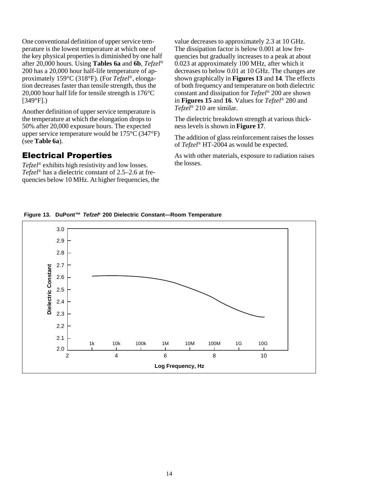One conventional definition of upper service temperature is the lowest temperature at which one of the key physical properties is diminished by one half after 20,000 hours. Using **Tables 6a** and **6b**, *Tefzel*® 200 has a 20,000 hour half-life temperature of approximately 159°C (318°F). (For *Tefzel*®, elongation decreases faster than tensile strength, thus the 20,000 hour half life for tensile strength is 176°C [349°F].)

Another definition of upper service temperature is the temperature at which the elongation drops to 50% after 20,000 exposure hours. The expected upper service temperature would be 175°C (347°F) (see **Table 6a**).

#### Electrical Properties

*Tefzel*® exhibits high resistivity and low losses. *Tefzel*® has a dielectric constant of 2.5–2.6 at frequencies below 10 MHz. At higher frequencies, the value decreases to approximately 2.3 at 10 GHz. The dissipation factor is below 0.001 at low frequencies but gradually increases to a peak at about 0.023 at approximately 100 MHz, after which it decreases to below 0.01 at 10 GHz. The changes are shown graphically in **Figures 13** and **14**. The effects of both frequency and temperature on both dielectric constant and dissipation for *Tefzel*® 200 are shown in **Figures 15** and **16**. Values for *Tefzel*® 280 and *Tefzel*® 210 are similar.

The dielectric breakdown strength at various thickness levels is shown in **Figure 17**.

The addition of glass reinforcement raises the losses of *Tefzel*® HT-2004 as would be expected.

As with other materials, exposure to radiation raises the losses.

**Figure 13. DuPont™ Tefzel® 200 Dielectric Constant—Room Temperature**

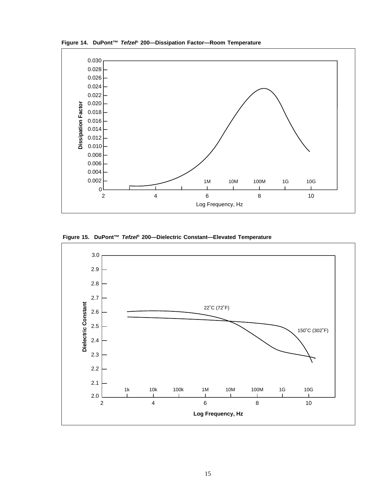

**Figure 14. DuPont™ Tefzel® 200—Dissipation Factor—Room Temperature**

**Figure 15. DuPont™ Tefzel® 200—Dielectric Constant—Elevated Temperature**

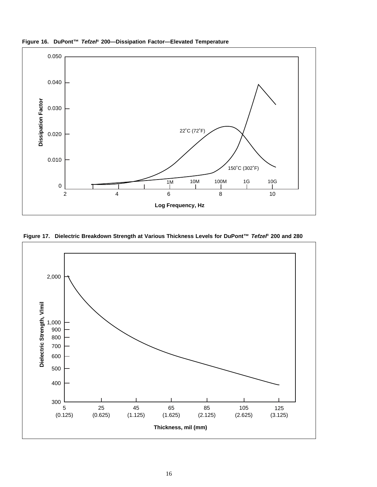

**Figure 16. DuPont™ Tefzel® 200—Dissipation Factor—Elevated Temperature**

**Figure 17. Dielectric Breakdown Strength at Various Thickness Levels for DuPont™ Tefzel® 200 and 280**

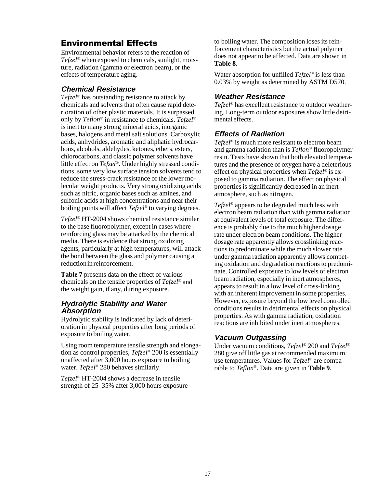## Environmental Effects

Environmental behavior refers to the reaction of *Tefzel*® when exposed to chemicals, sunlight, moisture, radiation (gamma or electron beam), or the effects of temperature aging.

#### **Chemical Resistance**

*Tefzel*® has outstanding resistance to attack by chemicals and solvents that often cause rapid deterioration of other plastic materials. It is surpassed only by *Teflon*® in resistance to chemicals. *Tefzel*® is inert to many strong mineral acids, inorganic bases, halogens and metal salt solutions. Carboxylic acids, anhydrides, aromatic and aliphatic hydrocarbons, alcohols, aldehydes, ketones, ethers, esters, chlorocarbons, and classic polymer solvents have little effect on *Tefzel*®. Under highly stressed conditions, some very low surface tension solvents tend to reduce the stress-crack resistance of the lower molecular weight products. Very strong oxidizing acids such as nitric, organic bases such as amines, and sulfonic acids at high concentrations and near their boiling points will affect *Tefzel*® to varying degrees.

*Tefzel*® HT-2004 shows chemical resistance similar to the base fluoropolymer, except in cases where reinforcing glass may be attacked by the chemical media. There is evidence that strong oxidizing agents, particularly at high temperatures, will attack the bond between the glass and polymer causing a reduction in reinforcement.

**Table 7** presents data on the effect of various chemicals on the tensile properties of *Tefzel*® and the weight gain, if any, during exposure.

#### **Hydrolytic Stability and Water Absorption**

Hydrolytic stability is indicated by lack of deterioration in physical properties after long periods of exposure to boiling water.

Using room temperature tensile strength and elongation as control properties, *Tefzel*® 200 is essentially unaffected after 3,000 hours exposure to boiling water. *Tefzel*® 280 behaves similarly.

*Tefzel*® HT-2004 shows a decrease in tensile strength of 25–35% after 3,000 hours exposure to boiling water. The composition loses its reinforcement characteristics but the actual polymer does not appear to be affected. Data are shown in **Table 8**.

Water absorption for unfilled *Tefzel*® is less than 0.03% by weight as determined by ASTM D570.

#### **Weather Resistance**

*Tefzel*® has excellent resistance to outdoor weathering. Long-term outdoor exposures show little detrimental effects.

#### **Effects of Radiation**

*Tefzel*® is much more resistant to electron beam and gamma radiation than is *Teflon*® fluoropolymer resin. Tests have shown that both elevated temperatures and the presence of oxygen have a deleterious effect on physical properties when *Tefzel*® is exposed to gamma radiation. The effect on physical properties is significantly decreased in an inert atmosphere, such as nitrogen.

*Tefzel*® appears to be degraded much less with electron beam radiation than with gamma radiation at equivalent levels of total exposure. The difference is probably due to the much higher dosage rate under electron beam conditions. The higher dosage rate apparently allows crosslinking reactions to predominate while the much slower rate under gamma radiation apparently allows competing oxidation and degradation reactions to predominate. Controlled exposure to low levels of electron beam radiation, especially in inert atmospheres, appears to result in a low level of cross-linking with an inherent improvement in some properties. However, exposure beyond the low level controlled conditions results in detrimental effects on physical properties. As with gamma radiation, oxidation reactions are inhibited under inert atmospheres.

#### **Vacuum Outgassing**

Under vacuum conditions, *Tefzel*® 200 and *Tefzel*® 280 give off little gas at recommended maximum use temperatures. Values for *Tefzel*® are comparable to *Teflon*®. Data are given in **Table 9**.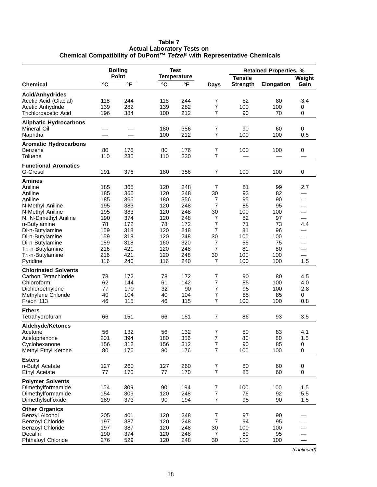|                               | <b>Boiling</b> |              |              | <b>Test</b>        |                | <b>Retained Properties, %</b> |                   |                          |
|-------------------------------|----------------|--------------|--------------|--------------------|----------------|-------------------------------|-------------------|--------------------------|
|                               |                | <b>Point</b> |              | <b>Temperature</b> |                | <b>Tensile</b>                |                   | Weight                   |
| <b>Chemical</b>               | $\mathbf{C}$   | °F           | $\mathbf{C}$ | °F                 | Days           | <b>Strength</b>               | <b>Elongation</b> | Gain                     |
| <b>Acid/Anhydrides</b>        |                |              |              |                    |                |                               |                   |                          |
| Acetic Acid (Glacial)         | 118            | 244          | 118          | 244                | 7              | 82                            | 80                | 3.4                      |
| Acetic Anhydride              | 139            | 282          | 139          | 282                | 7              | 100                           | 100               | 0                        |
| Trichloroacetic Acid          | 196            | 384          | 100          | 212                | 7              | 90                            | 70                | 0                        |
| <b>Aliphatic Hydrocarbons</b> |                |              |              |                    |                |                               |                   |                          |
| Mineral Oil                   |                |              | 180          | 356                | 7              | 90                            | 60                | 0                        |
| Naphtha                       |                |              | 100          | 212                | 7              | 100                           | 100               | 0.5                      |
| <b>Aromatic Hydrocarbons</b>  |                |              |              |                    |                |                               |                   |                          |
| Benzene                       | 80             | 176          | 80           | 176                | 7              | 100                           | 100               | 0                        |
| Toluene                       | 110            | 230          | 110          | 230                | 7              |                               |                   |                          |
| <b>Functional Aromatics</b>   |                |              |              |                    |                |                               |                   |                          |
| O-Cresol                      | 191            | 376          | 180          | 356                | 7              | 100                           | 100               | 0                        |
| Amines                        |                |              |              |                    |                |                               |                   |                          |
| Aniline                       | 185            | 365          | 120          | 248                | 7              | 81                            | 99                | 2.7                      |
| Aniline                       | 185            | 365          | 120          | 248                | 30             | 93                            | 82                |                          |
| Aniline                       | 185            | 365          | 180          | 356                | 7              | 95                            | 90                | —                        |
| N-Methyl Aniline              | 195            | 383          | 120          | 248                | $\overline{7}$ | 85                            | 95                | $\overline{\phantom{0}}$ |
| N-Methyl Aniline              | 195            | 383          | 120          | 248                | 30             | 100                           | 100               | $\overline{\phantom{0}}$ |
| N, N-Dimethyl Aniline         | 190            | 374          | 120          | 248                | 7              | 82                            | 97                |                          |
| n-Butylamine                  | 78             | 172          | 78           | 172                | 7              | 71                            | 73                | 4.4                      |
| Di-n-Butylamine               | 159            | 318          | 120          | 248                | 7              | 81                            | 96                |                          |
| Di-n-Butylamine               | 159            | 318          | 120          | 248                | 30             | 100                           | 100               |                          |
| Di-n-Butylamine               | 159            | 318          | 160          | 320                | 7              | 55                            | 75                |                          |
| Tri-n-Butylamine              | 216            | 421          | 120          | 248                | 7              | 81                            | 80                |                          |
| Tri-n-Butylamine              | 216            | 421          | 120          | 248                | 30             | 100                           | 100               |                          |
| Pyridine                      | 116            | 240          | 116          | 240                | 7              | 100                           | 100               | 1.5                      |
| <b>Chlorinated Solvents</b>   |                |              |              |                    |                |                               |                   |                          |
| Carbon Tetrachloride          | 78             | 172          | 78           | 172                | 7              | 90                            | 80                | 4.5                      |
| Chloroform                    | 62             | 144          | 61           | 142                | 7              | 85                            | 100               | 4.0                      |
| Dichloroethylene              | 77             | 170          | 32           | 90                 | 7              | 95                            | 100               | 2.8                      |
| Methylene Chloride            | 40             | 104          | 40           | 104                | 7              | 85                            | 85                | 0                        |
| Freon 113                     | 46             | 115          | 46           | 115                | 7              | 100                           | 100               | 0.8                      |
| <b>Ethers</b>                 |                |              |              |                    |                |                               |                   |                          |
| Tetrahydrofuran               | 66             | 151          | 66           | 151                | 7              | 86                            | 93                | 3.5                      |
| Aldehyde/Ketones              |                |              |              |                    |                |                               |                   |                          |
| Acetone                       | 56             | 132          | 56           | 132                | 7              | 80                            | 83                | 4.1                      |
| Acetophenone                  | 201            | 394          | 180          | 356                | 7              | 80                            | 80                | 1.5                      |
| Cyclohexanone                 | 156            | 312          | 156          | 312                | $\overline{7}$ | 90                            | 85                | $\pmb{0}$                |
| Methyl Ethyl Ketone           | 80             | 176          | 80           | 176                | 7              | 100                           | 100               | 0                        |
| <b>Esters</b>                 |                |              |              |                    |                |                               |                   |                          |
| n-Butyl Acetate               | 127            | 260          | 127          | 260                | 7              | 80                            | 60                | 0                        |
| Ethyl Acetate                 | 77             | 170          | 77           | 170                | 7              | 85                            | 60                | 0                        |
| <b>Polymer Solvents</b>       |                |              |              |                    |                |                               |                   |                          |
| Dimethylformamide             | 154            | 309          | 90           | 194                | 7              | 100                           | 100               | 1.5                      |
| Dimethylformamide             | 154            | 309          | 120          | 248                | 7              | 76                            | 92                | 5.5                      |
| Dimethylsulfoxide             | 189            | 373          | 90           | 194                | 7              | 95                            | 90                | 1.5                      |
| <b>Other Organics</b>         |                |              |              |                    |                |                               |                   |                          |
| Benzyl Alcohol                | 205            | 401          | 120          | 248                | 7              | 97                            | 90                |                          |
| <b>Benzoyl Chloride</b>       | 197            | 387          | 120          | 248                | $\overline{7}$ | 94                            | 95                |                          |
| <b>Benzoyl Chloride</b>       | 197            | 387          | 120          | 248                | 30             | 100                           | 100               |                          |
| Decalin                       | 190            | 374          | 120          | 248                | 7              | 89                            | 95                |                          |
| Phthaloyl Chloride            | 276            | 529          | 120          | 248                | 30             | 100                           | 100               |                          |

**Table 7 Actual Laboratory Tests on Chemical Compatibility of DuPont™ Tefzel® with Representative Chemicals**

(continued)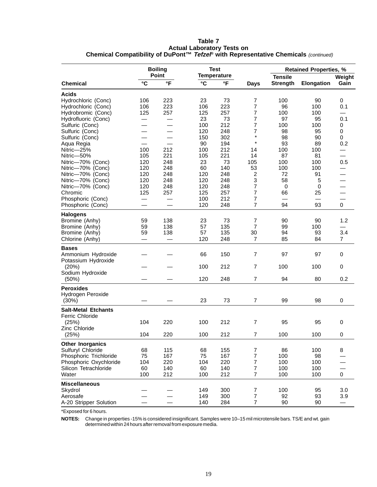| Table 7                                                                             |  |
|-------------------------------------------------------------------------------------|--|
| <b>Actual Laboratory Tests on</b>                                                   |  |
| Chemical Compatibility of DuPont™ Tefzel® with Representative Chemicals (continued) |  |

|                                       |            | <b>Boiling</b><br>Point |              | <b>Test</b>                        |                |                                   | <b>Retained Properties, %</b> |                          |
|---------------------------------------|------------|-------------------------|--------------|------------------------------------|----------------|-----------------------------------|-------------------------------|--------------------------|
| <b>Chemical</b>                       | °C         | °F                      | $\mathbf{C}$ | <b>Temperature</b><br>$\mathsf{P}$ | <b>Days</b>    | <b>Tensile</b><br><b>Strength</b> | <b>Elongation</b>             | Weight<br>Gain           |
| <b>Acids</b>                          |            |                         |              |                                    |                |                                   |                               |                          |
| Hydrochloric (Conc)                   | 106        | 223                     | 23           | 73                                 | 7              | 100                               | 90                            | 0                        |
| Hydrochloric (Conc)                   | 106        | 223                     | 106          | 223                                | 7              | 96                                | 100                           | 0.1                      |
| Hydrobromic (Conc)                    | 125        | 257                     | 125          | 257                                | 7              | 100                               | 100                           |                          |
| Hydrofluoric (Conc)                   |            |                         | 23           | 73                                 | 7              | 97                                | 95                            | 0.1                      |
| Sulfuric (Conc)                       |            |                         | 100          | 212                                | 7              | 100                               | 100                           | 0                        |
| Sulfuric (Conc)                       |            |                         | 120          | 248                                | 7              | 98                                | 95                            | 0                        |
| Sulfuric (Conc)                       |            |                         | 150          | 302                                | $\star$        | 98                                | 90                            | 0                        |
| Aqua Regia                            |            |                         | 90           | 194                                | $\star$        | 93                                | 89                            | 0.2                      |
| Nitric-25%                            | 100        | 212                     | 100          | 212                                | 14             | 100                               | 100                           |                          |
| Nitric-50%                            | 105        | 221                     | 105          | 221                                | 14             | 87                                | 81                            |                          |
| Nitric-70% (Conc)                     | 120        | 248                     | 23           | 73                                 | 105            | 100                               | 100                           | 0.5                      |
|                                       |            |                         |              | 140                                |                |                                   |                               |                          |
| Nitric-70% (Conc)                     | 120<br>120 | 248<br>248              | 60           | 248                                | 53             | 100<br>72                         | 100                           | $\overline{\phantom{0}}$ |
| Nitric-70% (Conc)                     |            |                         | 120          |                                    | 2              |                                   | 91                            |                          |
| Nitric-70% (Conc)                     | 120        | 248                     | 120          | 248                                | 3              | 58                                | 5                             |                          |
| Nitric-70% (Conc)                     | 120        | 248                     | 120          | 248                                | 7              | $\mathbf 0$                       | 0                             | $\overline{\phantom{0}}$ |
| Chromic                               | 125        | 257                     | 125          | 257                                | 7              | 66                                | 25                            |                          |
| Phosphoric (Conc)                     |            |                         | 100          | 212                                | 7              |                                   |                               |                          |
| Phosphoric (Conc)                     |            |                         | 120          | 248                                | 7              | 94                                | 93                            | $\Omega$                 |
| <b>Halogens</b>                       |            |                         |              |                                    |                |                                   |                               |                          |
| Bromine (Anhy)                        | 59         | 138                     | 23           | 73                                 | 7              | 90                                | 90                            | 1.2                      |
| Bromine (Anhy)                        | 59         | 138                     | 57           | 135                                | 7              | 99                                | 100                           |                          |
| Bromine (Anhy)                        | 59         | 138                     | 57           | 135                                | 30             | 94                                | 93                            | 3.4                      |
| Chlorine (Anhy)                       | —          |                         | 120          | 248                                | 7              | 85                                | 84                            | $\overline{7}$           |
| <b>Bases</b>                          |            |                         |              |                                    |                |                                   |                               |                          |
| Ammonium Hydroxide                    |            |                         | 66           | 150                                | $\overline{7}$ | 97                                | 97                            | 0                        |
| Potassium Hydroxide                   |            |                         |              |                                    |                |                                   |                               |                          |
| (20%)                                 |            |                         | 100          | 212                                | $\overline{7}$ | 100                               | 100                           | 0                        |
| Sodium Hydroxide                      |            |                         |              |                                    |                |                                   |                               |                          |
| $(50\%)$                              |            |                         | 120          | 248                                | 7              | 94                                | 80                            | 0.2                      |
|                                       |            |                         |              |                                    |                |                                   |                               |                          |
| <b>Peroxides</b><br>Hydrogen Peroxide |            |                         |              |                                    |                |                                   |                               |                          |
| (30%)                                 |            |                         | 23           | 73                                 | 7              | 99                                | 98                            | 0                        |
|                                       |            |                         |              |                                    |                |                                   |                               |                          |
| <b>Salt-Metal Etchants</b>            |            |                         |              |                                    |                |                                   |                               |                          |
| <b>Ferric Chloride</b>                |            |                         |              |                                    |                |                                   |                               |                          |
| (25%)                                 | 104        | 220                     | 100          | 212                                | $\overline{7}$ | 95                                | 95                            | 0                        |
| Zinc Chloride                         |            |                         |              |                                    |                |                                   |                               |                          |
| (25%)                                 | 104        | 220                     | 100          | 212                                | 7              | 100                               | 100                           | 0                        |
| <b>Other Inorganics</b>               |            |                         |              |                                    |                |                                   |                               |                          |
| Sulfuryl Chloride                     | 68         | 115                     | 68           | 155                                | 7              | 86                                | 100                           | 8                        |
| Phosphoric Trichloride                | 75         | 167                     | 75           | 167                                | $\overline{7}$ | 100                               | 98                            |                          |
| Phosphoric Oxychloride                | 104        | 220                     | 104          | 220                                | 7              | 100                               | 100                           |                          |
| Silicon Tetrachloride                 | 60         | 140                     | 60           | 140                                | 7              | 100                               | 100                           |                          |
| Water                                 | 100        | 212                     | 100          | 212                                | 7              | 100                               | 100                           | 0                        |
|                                       |            |                         |              |                                    |                |                                   |                               |                          |
| <b>Miscellaneous</b>                  |            |                         |              |                                    |                |                                   |                               |                          |
| Skydrol                               |            |                         | 149          | 300                                | 7              | 100                               | 95                            | 3.0                      |
| Aerosafe                              |            |                         | 149          | 300                                | $\overline{7}$ | 92                                | 93                            | 3.9                      |
| A-20 Stripper Solution                |            |                         | 140          | 284                                | 7              | 90                                | 90                            | $\overline{\phantom{0}}$ |

\*Exposed for 6 hours.

**NOTES:** Change in properties -15% is considered insignificant. Samples were 10–15 mil microtensile bars. TS/E and wt. gain determined within 24 hours after removal from exposure media.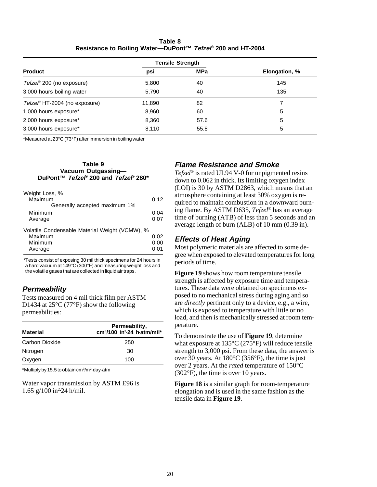**Table 8 Resistance to Boiling Water—DuPont™ Tefzel® 200 and HT-2004**

|                               | <b>Tensile Strength</b> |            |               |
|-------------------------------|-------------------------|------------|---------------|
| <b>Product</b>                | psi                     | <b>MPa</b> | Elongation, % |
| Tefzel® 200 (no exposure)     | 5,800                   | 40         | 145           |
| 3,000 hours boiling water     | 5,790                   | 40         | 135           |
| Tefzel® HT-2004 (no exposure) | 11,890                  | 82         |               |
| 1,000 hours exposure*         | 8,960                   | 60         | 5             |
| 2,000 hours exposure*         | 8,360                   | 57.6       | 5             |
| 3,000 hours exposure*         | 8,110                   | 55.8       | 5             |

\*Measured at 23°C (73°F) after immersion in boiling water

| Table 9                                                    |
|------------------------------------------------------------|
| Vacuum Outgassing-                                         |
| DuPont™ Tefze <sup>®</sup> 200 and Tefze <sup>®</sup> 280* |

| Weight Loss, %<br>Maximum<br>Generally accepted maximum 1%                      | 0.12                 |
|---------------------------------------------------------------------------------|----------------------|
| Minimum<br>Average                                                              | 0.04<br>0.07         |
| Volatile Condensable Material Weight (VCMW), %<br>Maximum<br>Minimum<br>Average | 0.02<br>0.00<br>በ በ1 |

\*Tests consist of exposing 30 mil thick specimens for 24 hours in a hard vacuum at 149°C (300°F) and measuring weight loss and the volatile gases that are collected in liquid air traps.

#### **Permeability**

Tests measured on 4 mil thick film per ASTM D1434 at 25<sup>o</sup>C (77<sup>o</sup>F) show the following permeabilities:

| <b>Material</b> | Permeability,<br>$cm3/100$ in <sup>2</sup> $\cdot$ 24 h $\cdot$ atm/mil* |
|-----------------|--------------------------------------------------------------------------|
| Carbon Dioxide  | 250                                                                      |
| Nitrogen        | 30                                                                       |
| Oxygen          | 100                                                                      |

\*Multiply by 15.5 to obtain cm3 /m2 ·day·atm

Water vapor transmission by ASTM E96 is 1.65  $g/100$  in<sup>2</sup> $-24$  h/mil.

#### **Flame Resistance and Smoke**

*Tefzel*® is rated UL94 V-0 for unpigmented resins down to 0.062 in thick. Its limiting oxygen index (LOI) is 30 by ASTM D2863, which means that an atmosphere containing at least 30% oxygen is required to maintain combustion in a downward burning flame. By ASTM D635, *Tefzel*® has an average time of burning (ATB) of less than 5 seconds and an average length of burn (ALB) of 10 mm (0.39 in).

#### **Effects of Heat Aging**

Most polymeric materials are affected to some degree when exposed to elevated temperatures for long periods of time.

**Figure 19** shows how room temperature tensile strength is affected by exposure time and temperatures. These data were obtained on specimens exposed to no mechanical stress during aging and so are *directly* pertinent only to a device, e.g., a wire, which is exposed to temperature with little or no load, and then is mechanically stressed at room temperature.

To demonstrate the use of **Figure 19**, determine what exposure at 135°C (275°F) will reduce tensile strength to 3,000 psi. From these data, the answer is over 30 years. At 180°C (356°F), the time is just over 2 years. At the *rated* temperature of 150°C (302°F), the time is over 10 years.

**Figure 18** is a similar graph for room-temperature elongation and is used in the same fashion as the tensile data in **Figure 19**.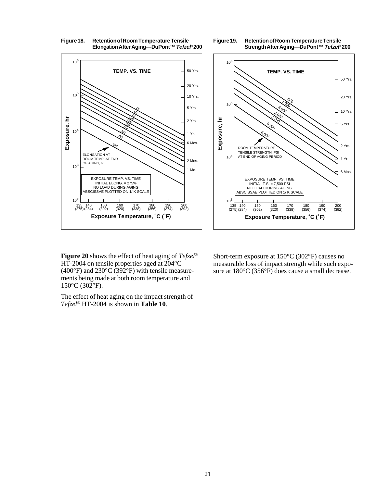



**Figure 19. Retention of Room Temperature Tensile**

**Strength After Aging—DuPont™ Tefzel® 200**

**Figure 20** shows the effect of heat aging of *Tefzel*® HT-2004 on tensile properties aged at 204°C  $(400^{\circ}F)$  and  $230^{\circ}C(392^{\circ}F)$  with tensile measurements being made at both room temperature and 150°C (302°F).

The effect of heat aging on the impact strength of *Tefzel*® HT-2004 is shown in **Table 10**.

Short-term exposure at 150°C (302°F) causes no measurable loss of impact strength while such exposure at 180°C (356°F) does cause a small decrease.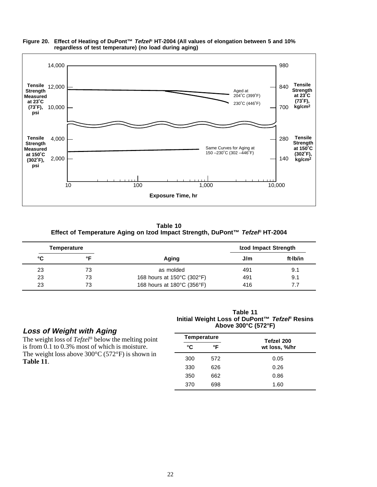

#### **Figure 20. Effect of Heating of DuPont™ Tefzel® HT-2004 (All values of elongation between 5 and 10% regardless of test temperature) (no load during aging)**

**Table 10 Effect of Temperature Aging on Izod Impact Strength, DuPont™ Tefzel® HT-2004**

|    | Temperature |                            | Izod Impact Strength |          |
|----|-------------|----------------------------|----------------------|----------|
| °C | ∘⊏          | Aging                      | J/m                  | ft·lb/in |
| 23 | 73          | as molded                  | 491                  | 9.1      |
| 23 | 73          | 168 hours at 150°C (302°F) | 491                  | 9.1      |
| 23 | 73          | 168 hours at 180°C (356°F) | 416                  | 7.7      |

#### **Loss of Weight with Aging**

The weight loss of *Tefzel*® below the melting point is from 0.1 to 0.3% most of which is moisture. The weight loss above  $300^{\circ}$ C (572°F) is shown in **Table 11**.

**Table 11 Initial Weight Loss of DuPont™ Tefzel® Resins Above 300°C (572°F)**

| <b>Temperature</b> |     | Tefzel 200    |
|--------------------|-----|---------------|
| °C                 | °F  | wt loss, %/hr |
| 300                | 572 | 0.05          |
| 330                | 626 | 0.26          |
| 350                | 662 | 0.86          |
| 370                | 698 | 1.60          |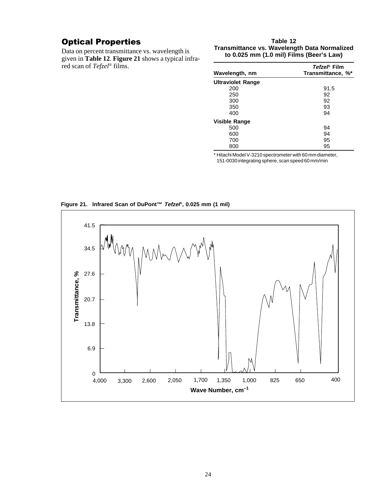## Optical Properties

Data on percent transmittance vs. wavelength is given in **Table 12**. **Figure 21** shows a typical infrared scan of *Tefzel*® films.

#### **Table 12 Transmittance vs. Wavelength Data Normalized to 0.025 mm (1.0 mil) Films (Beer's Law)**

| Wavelength, nm           | Tefzel® Film<br>Transmittance, %* |  |
|--------------------------|-----------------------------------|--|
| <b>Ultraviolet Range</b> |                                   |  |
| 200                      | 91.5                              |  |
| 250                      | 92                                |  |
| 300                      | 92                                |  |
| 350                      | 93                                |  |
| 400                      | 94                                |  |
| Visible Range            |                                   |  |
| 500                      | 94                                |  |
| 600                      | 94                                |  |
| 700                      | 95                                |  |
| 800                      | 95                                |  |

\* Hitachi Model V-3210 spectrometer with 60 mm diameter,

151-0030 integrating sphere, scan speed 60 mm/min

**Figure 21. Infrared Scan of DuPont™ Tefzel®, 0.025 mm (1 mil)**

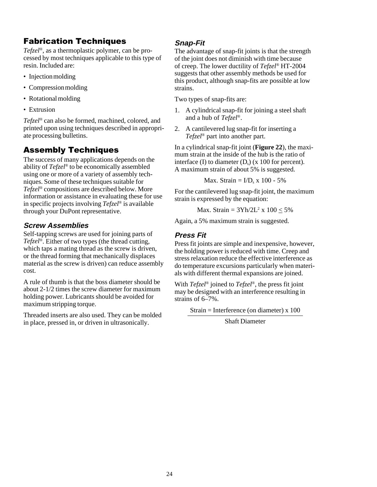## Fabrication Techniques

*Tefzel*®, as a thermoplastic polymer, can be processed by most techniques applicable to this type of resin. Included are:

- Injection molding
- Compression molding
- Rotational molding
- Extrusion

*Tefzel*® can also be formed, machined, colored, and printed upon using techniques described in appropriate processing bulletins.

## Assembly Techniques

The success of many applications depends on the ability of *Tefzel*® to be economically assembled using one or more of a variety of assembly techniques. Some of these techniques suitable for *Tefzel*® compositions are described below. More information or assistance in evaluating these for use in specific projects involving *Tefzel*® is available through your DuPont representative.

## **Screw Assemblies**

Self-tapping screws are used for joining parts of *Tefzel*®. Either of two types (the thread cutting, which taps a mating thread as the screw is driven, or the thread forming that mechanically displaces material as the screw is driven) can reduce assembly cost.

A rule of thumb is that the boss diameter should be about 2-1/2 times the screw diameter for maximum holding power. Lubricants should be avoided for maximum stripping torque.

Threaded inserts are also used. They can be molded in place, pressed in, or driven in ultrasonically.

## **Snap-Fit**

The advantage of snap-fit joints is that the strength of the joint does not diminish with time because of creep. The lower ductility of *Tefzel*® HT-2004 suggests that other assembly methods be used for this product, although snap-fits are possible at low strains.

Two types of snap-fits are:

- 1. A cylindrical snap-fit for joining a steel shaft and a hub of *Tefzel*®.
- 2. A cantilevered lug snap-fit for inserting a *Tefzel*® part into another part.

In a cylindrical snap-fit joint (**Figure 22**), the maximum strain at the inside of the hub is the ratio of interface (I) to diameter  $(D_s)$  (x 100 for percent). A maximum strain of about 5% is suggested.

Max. Strain =  $I/D_s$  x 100 - 5%

For the cantilevered lug snap-fit joint, the maximum strain is expressed by the equation:

Max. Strain =  $3Yh/2L^2 \times 100 \le 5\%$ 

Again, a 5% maximum strain is suggested.

#### **Press Fit**

Press fit joints are simple and inexpensive, however, the holding power is reduced with time. Creep and stress relaxation reduce the effective interference as do temperature excursions particularly when materials with different thermal expansions are joined.

With *Tefzel*® joined to *Tefzel*®, the press fit joint may be designed with an interference resulting in strains of 6–7%.

Strain = Interference (on diameter) x 100

Shaft Diameter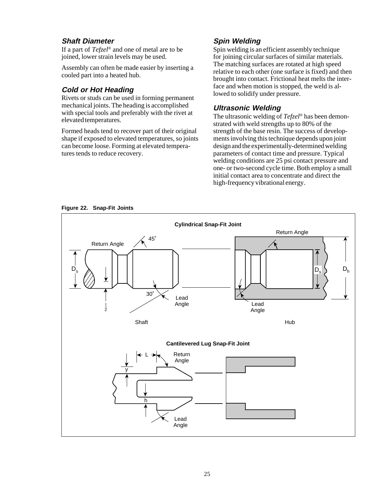#### **Shaft Diameter**

If a part of *Tefzel*® and one of metal are to be joined, lower strain levels may be used.

Assembly can often be made easier by inserting a cooled part into a heated hub.

#### **Cold or Hot Heading**

Rivets or studs can be used in forming permanent mechanical joints. The heading is accomplished with special tools and preferably with the rivet at elevated temperatures.

Formed heads tend to recover part of their original shape if exposed to elevated temperatures, so joints can become loose. Forming at elevated temperatures tends to reduce recovery.

## **Spin Welding**

Spin welding is an efficient assembly technique for joining circular surfaces of similar materials. The matching surfaces are rotated at high speed relative to each other (one surface is fixed) and then brought into contact. Frictional heat melts the interface and when motion is stopped, the weld is allowed to solidify under pressure.

#### **Ultrasonic Welding**

The ultrasonic welding of *Tefzel*® has been demonstrated with weld strengths up to 80% of the strength of the base resin. The success of developments involving this technique depends upon joint design and the experimentally-determined welding parameters of contact time and pressure. Typical welding conditions are 25 psi contact pressure and one- or two-second cycle time. Both employ a small initial contact area to concentrate and direct the high-frequency vibrational energy.

**Figure 22. Snap-Fit Joints**

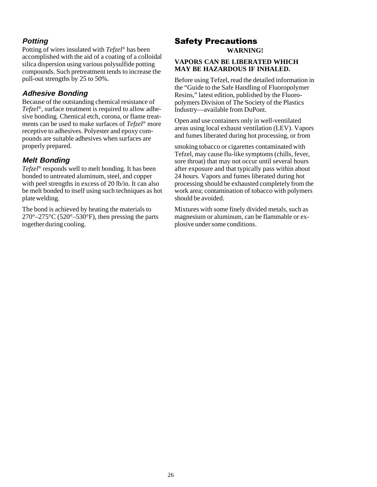## **Potting**

Potting of wires insulated with *Tefzel*® has been accomplished with the aid of a coating of a colloidal silica dispersion using various polysulfide potting compounds. Such pretreatment tends to increase the pull-out strengths by 25 to 50%.

#### **Adhesive Bonding**

Because of the outstanding chemical resistance of *Tefzel*®, surface treatment is required to allow adhesive bonding. Chemical etch, corona, or flame treatments can be used to make surfaces of *Tefzel*® more receptive to adhesives. Polyester and epoxy compounds are suitable adhesives when surfaces are properly prepared.

#### **Melt Bonding**

*Tefzel*® responds well to melt bonding. It has been bonded to untreated aluminum, steel, and copper with peel strengths in excess of 20 lb/in. It can also be melt bonded to itself using such techniques as hot plate welding.

The bond is achieved by heating the materials to  $270^{\circ} - 275^{\circ}$ C (520°–530°F), then pressing the parts together during cooling.

## Safety Precautions

**WARNING!**

#### **VAPORS CAN BE LIBERATED WHICH MAY BE HAZARDOUS IF INHALED.**

Before using Tefzel, read the detailed information in the "Guide to the Safe Handling of Fluoropolymer Resins," latest edition, published by the Fluoropolymers Division of The Society of the Plastics Industry—available from DuPont.

Open and use containers only in well-ventilated areas using local exhaust ventilation (LEV). Vapors and fumes liberated during hot processing, or from

smoking tobacco or cigarettes contaminated with Tefzel, may cause flu-like symptoms (chills, fever, sore throat) that may not occur until several hours after exposure and that typically pass within about 24 hours. Vapors and fumes liberated during hot processing should be exhausted completely from the work area; contamination of tobacco with polymers should be avoided.

Mixtures with some finely divided metals, such as magnesium or aluminum, can be flammable or explosive under some conditions.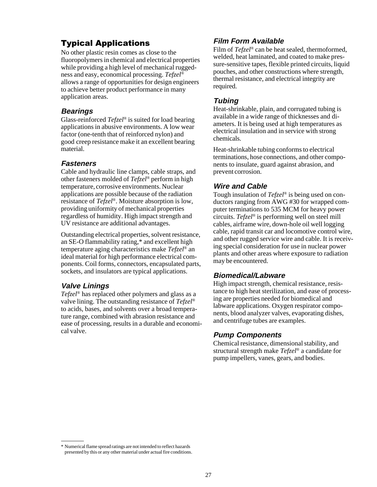## Typical Applications

No other plastic resin comes as close to the fluoropolymers in chemical and electrical properties while providing a high level of mechanical ruggedness and easy, economical processing. *Tefzel*® allows a range of opportunities for design engineers to achieve better product performance in many application areas.

#### **Bearings**

Glass-reinforced *Tefzel*® is suited for load bearing applications in abusive environments. A low wear factor (one-tenth that of reinforced nylon) and good creep resistance make it an excellent bearing material.

#### **Fasteners**

Cable and hydraulic line clamps, cable straps, and other fasteners molded of *Tefzel*® perform in high temperature, corrosive environments. Nuclear applications are possible because of the radiation resistance of *Tefzel*®. Moisture absorption is low, providing uniformity of mechanical properties regardless of humidity. High impact strength and UV resistance are additional advantages.

Outstanding electrical properties, solvent resistance, an SE-O flammability rating,\* and excellent high temperature aging characteristics make *Tefzel*® an ideal material for high performance electrical components. Coil forms, connectors, encapsulated parts, sockets, and insulators are typical applications.

#### **Valve Linings**

*Tefzel*® has replaced other polymers and glass as a valve lining. The outstanding resistance of *Tefzel*® to acids, bases, and solvents over a broad temperature range, combined with abrasion resistance and ease of processing, results in a durable and economical valve.

## **Film Form Available**

Film of *Tefzel*® can be heat sealed, thermoformed, welded, heat laminated, and coated to make pressure-sensitive tapes, flexible printed circuits, liquid pouches, and other constructions where strength, thermal resistance, and electrical integrity are required.

### **Tubing**

Heat-shrinkable, plain, and corrugated tubing is available in a wide range of thicknesses and diameters. It is being used at high temperatures as electrical insulation and in service with strong chemicals.

Heat-shrinkable tubing conforms to electrical terminations, hose connections, and other components to insulate, guard against abrasion, and prevent corrosion.

## **Wire and Cable**

Tough insulation of *Tefzel*® is being used on conductors ranging from AWG #30 for wrapped computer terminations to 535 MCM for heavy power circuits. *Tefzel*® is performing well on steel mill cables, airframe wire, down-hole oil well logging cable, rapid transit car and locomotive control wire, and other rugged service wire and cable. It is receiving special consideration for use in nuclear power plants and other areas where exposure to radiation may be encountered.

## **Biomedical/Labware**

High impact strength, chemical resistance, resistance to high heat sterilization, and ease of processing are properties needed for biomedical and labware applications. Oxygen respirator components, blood analyzer valves, evaporating dishes, and centrifuge tubes are examples.

#### **Pump Components**

Chemical resistance, dimensional stability, and structural strength make *Tefzel*® a candidate for pump impellers, vanes, gears, and bodies.

<sup>\*</sup> Numerical flame spread ratings are not intended to reflect hazards presented by this or any other material under actual fire conditions.